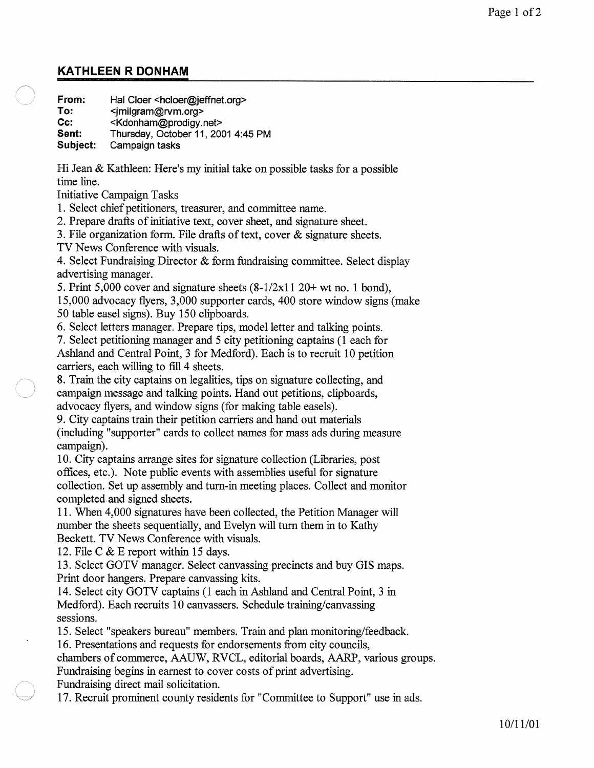## **KATHLEEN R DONHAM**

**From: To: Cc: Sent: Subject:**  Hal Cloer <hcloer@jeffnet.org> <jmilgram@rvm.org> <Kdonham@prodigy.net> Thursday, October 11, 2001 4:45 PM Campaign tasks

Hi Jean & Kathleen: Here's my initial take on possible tasks for a possible time line.

Initiative Campaign Tasks

1. Select chief petitioners, treasurer, and committee name.

2. Prepare drafts of initiative text, cover sheet, and signature sheet.

3. File organization form. File drafts of text, cover & signature sheets.

TV News Conference with visuals.

4. Select Fundraising Director & form fundraising committee. Select display advertising manager.

5. Print 5,000 cover and signature sheets  $(8-1/2x1120+$  wt no. 1 bond), 15,000 advocacy flyers, 3,000 supporter cards, 400 store window signs (make 50 table easel signs). Buy 150 clipboards.

6. Select letters manager. Prepare tips, model letter and talking points.

7. Select petitioning manager and 5 city petitioning captains (1 each for Ashland and Central Point, 3 for Medford). Each is to recruit 10 petition carriers, each willing to fill 4 sheets.

8. Train the city captains on legalities, tips on signature collecting, and campaign message and talking points. Hand out petitions, clipboards, advocacy flyers, and window signs (for making table easels).

9. City captains train their petition carriers and hand out materials (including "supporter" cards to collect names for mass ads during measure campaign).

10. City captains arrange sites for signature collection (Libraries, post offices, etc.). Note public events with assemblies useful for signature collection. Set up assembly and turn-in meeting places. Collect and monitor completed and signed sheets.

11. When 4,000 signatures have been collected, the Petition Manager will number the sheets sequentially, and Evelyn will turn them in to Kathy Beckett. TV News Conference with visuals.

12. File C & E report within 15 days.

13. Select GOTV manager. Select canvassing precincts and buy GIS maps. Print door hangers. Prepare canvassing kits.

14. Select city GOTV captains (1 each in Ashland and Central Point, 3 in Medford). Each recruits 10 canvassers. Schedule training/canvassing sessions.

15. Select "speakers bureau" members. Train and plan monitoring/feedback.

16. Presentations and requests for endorsements from city councils,

chambers of commerce, AAUW, RVCL, editorial boards, AARP, various groups. Fundraising begins in earnest to cover costs of print advertising.

Fundraising direct mail solicitation.

17. Recruit prominent county residents for "Committee to Support" use in ads.